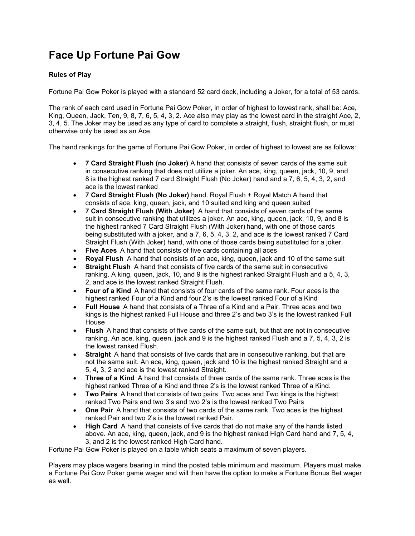## Face Up Fortune Pai Gow

## Rules of Play

Fortune Pai Gow Poker is played with a standard 52 card deck, including a Joker, for a total of 53 cards.

The rank of each card used in Fortune Pai Gow Poker, in order of highest to lowest rank, shall be: Ace, King, Queen, Jack, Ten, 9, 8, 7, 6, 5, 4, 3, 2. Ace also may play as the lowest card in the straight Ace, 2, 3, 4, 5. The Joker may be used as any type of card to complete a straight, flush, straight flush, or must otherwise only be used as an Ace.

The hand rankings for the game of Fortune Pai Gow Poker, in order of highest to lowest are as follows:

- 7 Card Straight Flush (no Joker) A hand that consists of seven cards of the same suit in consecutive ranking that does not utilize a joker. An ace, king, queen, jack, 10, 9, and 8 is the highest ranked 7 card Straight Flush (No Joker) hand and a 7, 6, 5, 4, 3, 2, and ace is the lowest ranked
- 7 Card Straight Flush (No Joker) hand. Royal Flush + Royal Match A hand that consists of ace, king, queen, jack, and 10 suited and king and queen suited
- 7 Card Straight Flush (With Joker)  A hand that consists of seven cards of the same suit in consecutive ranking that utilizes a joker. An ace, king, queen, jack, 10, 9, and 8 is the highest ranked 7 Card Straight Flush (With Joker) hand, with one of those cards being substituted with a joker, and a 7, 6, 5, 4, 3, 2, and ace is the lowest ranked 7 Card Straight Flush (With Joker) hand, with one of those cards being substituted for a joker.
- Five Aces  A hand that consists of five cards containing all aces
- Royal Flush A hand that consists of an ace, king, queen, jack and 10 of the same suit
- Straight Flush  A hand that consists of five cards of the same suit in consecutive ranking. A king, queen, jack, 10, and 9 is the highest ranked Straight Flush and a 5, 4, 3, 2, and ace is the lowest ranked Straight Flush.
- Four of a Kind A hand that consists of four cards of the same rank. Four aces is the highest ranked Four of a Kind and four 2's is the lowest ranked Four of a Kind
- Full House  A hand that consists of a Three of a Kind and a Pair. Three aces and two kings is the highest ranked Full House and three 2's and two 3's is the lowest ranked Full House
- Flush A hand that consists of five cards of the same suit, but that are not in consecutive ranking. An ace, king, queen, jack and 9 is the highest ranked Flush and a 7, 5, 4, 3, 2 is the lowest ranked Flush.
- Straight A hand that consists of five cards that are in consecutive ranking, but that are not the same suit. An ace, king, queen, jack and 10 is the highest ranked Straight and a 5, 4, 3, 2 and ace is the lowest ranked Straight.
- Three of a Kind  A hand that consists of three cards of the same rank. Three aces is the highest ranked Three of a Kind and three 2's is the lowest ranked Three of a Kind.
- Two Pairs  A hand that consists of two pairs. Two aces and Two kings is the highest ranked Two Pairs and two 3's and two 2's is the lowest ranked Two Pairs
- One Pair A hand that consists of two cards of the same rank. Two aces is the highest ranked Pair and two 2's is the lowest ranked Pair.
- High Card A hand that consists of five cards that do not make any of the hands listed above. An ace, king, queen, jack, and 9 is the highest ranked High Card hand and 7, 5, 4, 3, and 2 is the lowest ranked High Card hand.

Fortune Pai Gow Poker is played on a table which seats a maximum of seven players.

Players may place wagers bearing in mind the posted table minimum and maximum. Players must make a Fortune Pai Gow Poker game wager and will then have the option to make a Fortune Bonus Bet wager as well.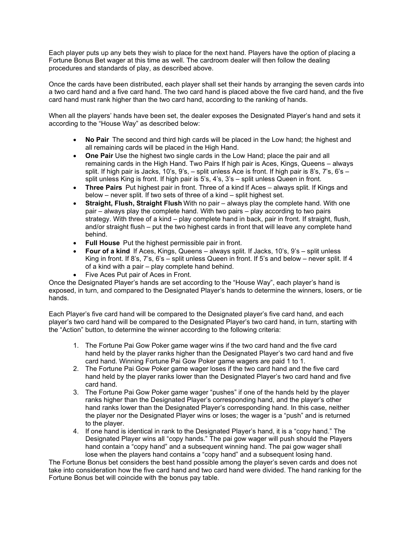Each player puts up any bets they wish to place for the next hand. Players have the option of placing a Fortune Bonus Bet wager at this time as well. The cardroom dealer will then follow the dealing procedures and standards of play, as described above.

Once the cards have been distributed, each player shall set their hands by arranging the seven cards into a two card hand and a five card hand. The two card hand is placed above the five card hand, and the five card hand must rank higher than the two card hand, according to the ranking of hands.

When all the players' hands have been set, the dealer exposes the Designated Player's hand and sets it according to the "House Way" as described below:

- No Pair The second and third high cards will be placed in the Low hand; the highest and all remaining cards will be placed in the High Hand.
- One Pair Use the highest two single cards in the Low Hand; place the pair and all remaining cards in the High Hand. Two Pairs If high pair is Aces, Kings, Queens – always split. If high pair is Jacks, 10's, 9's, – split unless Ace is front. If high pair is 8's, 7's, 6's – split unless King is front. If high pair is 5's, 4's, 3's – split unless Queen in front.
- Three Pairs  Put highest pair in front. Three of a kind If Aces always split. If Kings and below – never split. If two sets of three of a kind – split highest set.
- Straight, Flush, Straight Flush With no pair always play the complete hand. With one pair – always play the complete hand. With two pairs – play according to two pairs strategy. With three of a kind – play complete hand in back, pair in front. If straight, flush, and/or straight flush – put the two highest cards in front that will leave any complete hand behind.
- Full House Put the highest permissible pair in front.
- Four of a kind If Aces, Kings, Queens always split. If Jacks, 10's, 9's split unless King in front. If 8's, 7's, 6's – split unless Queen in front. If 5's and below – never split. If 4 of a kind with a pair – play complete hand behind.
- Five Aces Put pair of Aces in Front.

Once the Designated Player's hands are set according to the "House Way", each player's hand is exposed, in turn, and compared to the Designated Player's hands to determine the winners, losers, or tie hands.

Each Player's five card hand will be compared to the Designated player's five card hand, and each player's two card hand will be compared to the Designated Player's two card hand, in turn, starting with the "Action" button, to determine the winner according to the following criteria:

- 1. The Fortune Pai Gow Poker game wager wins if the two card hand and the five card hand held by the player ranks higher than the Designated Player's two card hand and five card hand. Winning Fortune Pai Gow Poker game wagers are paid 1 to 1.
- 2. The Fortune Pai Gow Poker game wager loses if the two card hand and the five card hand held by the player ranks lower than the Designated Player's two card hand and five card hand.
- 3. The Fortune Pai Gow Poker game wager "pushes" if one of the hands held by the player ranks higher than the Designated Player's corresponding hand, and the player's other hand ranks lower than the Designated Player's corresponding hand. In this case, neither the player nor the Designated Player wins or loses; the wager is a "push" and is returned to the player.
- 4. If one hand is identical in rank to the Designated Player's hand, it is a "copy hand." The Designated Player wins all "copy hands." The pai gow wager will push should the Players hand contain a "copy hand" and a subsequent winning hand. The pai gow wager shall lose when the players hand contains a "copy hand" and a subsequent losing hand.

The Fortune Bonus bet considers the best hand possible among the player's seven cards and does not take into consideration how the five card hand and two card hand were divided. The hand ranking for the Fortune Bonus bet will coincide with the bonus pay table.